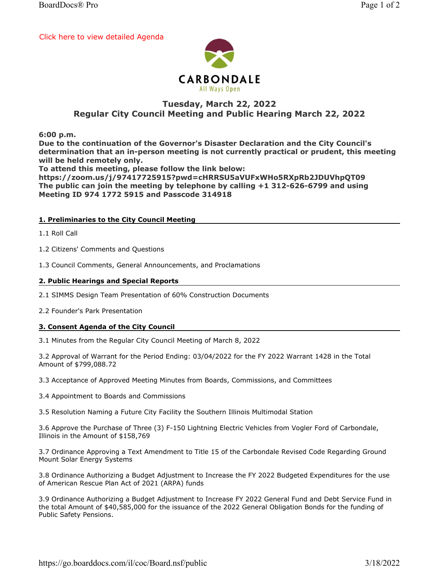[Click here to view detailed Agenda](https://go.boarddocs.com/il/coc/Board.nsf/public#)



# Tuesday, March 22, 2022 Regular City Council Meeting and Public Hearing March 22, 2022

6:00 p.m.

Due to the continuation of the Governor's Disaster Declaration and the City Council's determination that an in-person meeting is not currently practical or prudent, this meeting will be held remotely only.

To attend this meeting, please follow the link below:

https://zoom.us/j/97417725915?pwd=cHRRSU5aVUFxWHo5RXpRb2JDUVhpQT09 The public can join the meeting by telephone by calling +1 312-626-6799 and using Meeting ID 974 1772 5915 and Passcode 314918

#### 1. Preliminaries to the City Council Meeting

1.1 Roll Call

1.2 Citizens' Comments and Questions

1.3 Council Comments, General Announcements, and Proclamations

#### 2. Public Hearings and Special Reports

2.1 SIMMS Design Team Presentation of 60% Construction Documents

2.2 Founder's Park Presentation

#### 3. Consent Agenda of the City Council

3.1 Minutes from the Regular City Council Meeting of March 8, 2022

3.2 Approval of Warrant for the Period Ending: 03/04/2022 for the FY 2022 Warrant 1428 in the Total Amount of \$799,088.72

3.3 Acceptance of Approved Meeting Minutes from Boards, Commissions, and Committees

3.4 Appointment to Boards and Commissions

3.5 Resolution Naming a Future City Facility the Southern Illinois Multimodal Station

3.6 Approve the Purchase of Three (3) F-150 Lightning Electric Vehicles from Vogler Ford of Carbondale, Illinois in the Amount of \$158,769

3.7 Ordinance Approving a Text Amendment to Title 15 of the Carbondale Revised Code Regarding Ground Mount Solar Energy Systems

3.8 Ordinance Authorizing a Budget Adjustment to Increase the FY 2022 Budgeted Expenditures for the use of American Rescue Plan Act of 2021 (ARPA) funds

3.9 Ordinance Authorizing a Budget Adjustment to Increase FY 2022 General Fund and Debt Service Fund in the total Amount of \$40,585,000 for the issuance of the 2022 General Obligation Bonds for the funding of Public Safety Pensions.